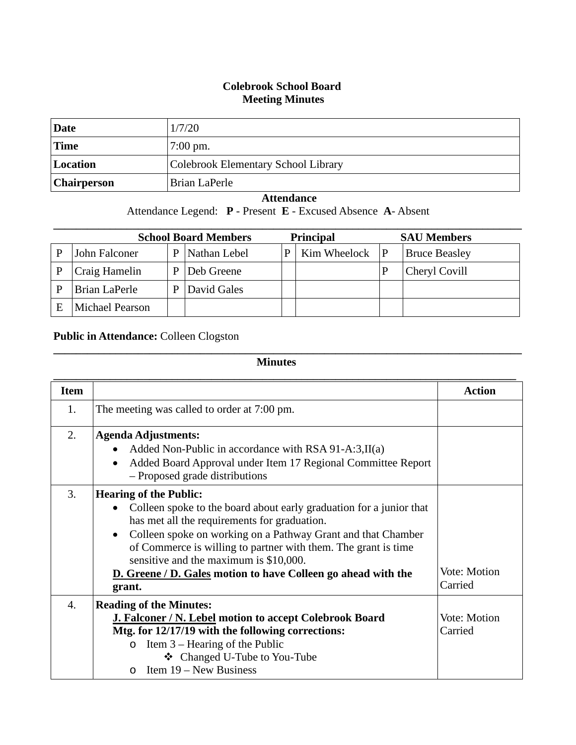## **Colebrook School Board Meeting Minutes**

| Date               | 1/7/20                              |
|--------------------|-------------------------------------|
| 'Time              | $7:00 \text{ pm}$ .                 |
| Location           | Colebrook Elementary School Library |
| <b>Chairperson</b> | Brian LaPerle                       |

## **Attendance**

Attendance Legend: **P** - Present **E** - Excused Absence **A**- Absent

| <b>School Board Members</b> |                        |   |              | <b>Principal</b> | <b>SAU Members</b> |   |                      |
|-----------------------------|------------------------|---|--------------|------------------|--------------------|---|----------------------|
|                             | John Falconer          | D | Nathan Lebel | P                | Kim Wheelock       | P | <b>Bruce Beasley</b> |
|                             | Craig Hamelin          |   | Deb Greene   |                  |                    |   | Cheryl Covill        |
|                             | Brian LaPerle          |   | David Gales  |                  |                    |   |                      |
|                             | <b>Michael Pearson</b> |   |              |                  |                    |   |                      |

## **Public in Attendance:** Colleen Clogston

## **Minutes**

**\_\_\_\_\_\_\_\_\_\_\_\_\_\_\_\_\_\_\_\_\_\_\_\_\_\_\_\_\_\_\_\_\_\_\_\_\_\_\_\_\_\_\_\_\_\_\_\_\_\_\_\_\_\_\_\_\_\_\_\_\_\_\_\_\_\_\_\_\_\_\_\_\_\_\_\_\_\_\_\_\_\_\_**

| <b>Item</b>      |                                                                           | <b>Action</b> |
|------------------|---------------------------------------------------------------------------|---------------|
| 1.               | The meeting was called to order at 7:00 pm.                               |               |
| 2.               | <b>Agenda Adjustments:</b>                                                |               |
|                  | Added Non-Public in accordance with RSA 91-A:3, $II(a)$                   |               |
|                  | Added Board Approval under Item 17 Regional Committee Report<br>$\bullet$ |               |
|                  | - Proposed grade distributions                                            |               |
| 3.               | <b>Hearing of the Public:</b>                                             |               |
|                  | Colleen spoke to the board about early graduation for a junior that       |               |
|                  | has met all the requirements for graduation.                              |               |
|                  | Colleen spoke on working on a Pathway Grant and that Chamber              |               |
|                  | of Commerce is willing to partner with them. The grant is time            |               |
|                  | sensitive and the maximum is \$10,000.                                    |               |
|                  | <b>D.</b> Greene / D. Gales motion to have Colleen go ahead with the      | Vote: Motion  |
|                  | grant.                                                                    | Carried       |
| $\overline{4}$ . | <b>Reading of the Minutes:</b>                                            |               |
|                  | <b>J. Falconer / N. Lebel motion to accept Colebrook Board</b>            | Vote: Motion  |
|                  | Mtg. for 12/17/19 with the following corrections:                         | Carried       |
|                  | Item $3$ – Hearing of the Public<br>$\Omega$                              |               |
|                  | ❖ Changed U-Tube to You-Tube                                              |               |
|                  | Item $19 - New Business$<br>$\Omega$                                      |               |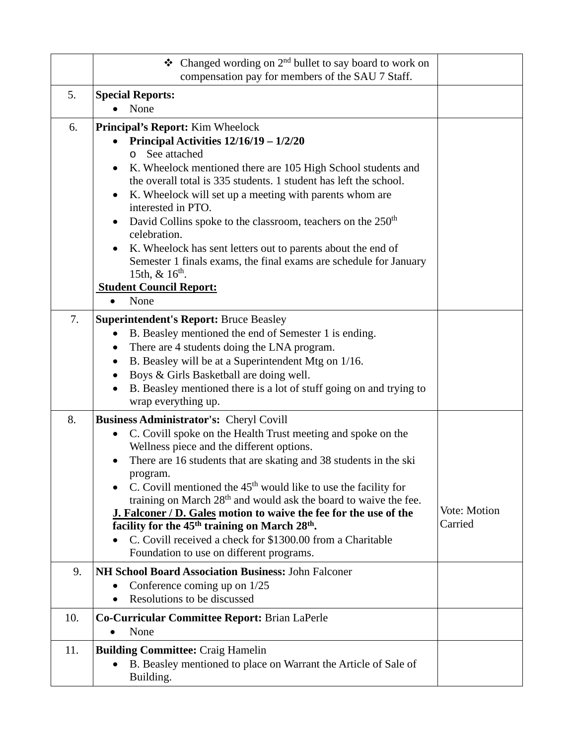|     | $\triangleleft$ Changed wording on 2 <sup>nd</sup> bullet to say board to work on<br>compensation pay for members of the SAU 7 Staff.                                                                                                                                                                                                                                                                                                                                                                                                                                                                                                                         |                         |
|-----|---------------------------------------------------------------------------------------------------------------------------------------------------------------------------------------------------------------------------------------------------------------------------------------------------------------------------------------------------------------------------------------------------------------------------------------------------------------------------------------------------------------------------------------------------------------------------------------------------------------------------------------------------------------|-------------------------|
| 5.  | <b>Special Reports:</b><br>None                                                                                                                                                                                                                                                                                                                                                                                                                                                                                                                                                                                                                               |                         |
| 6.  | <b>Principal's Report:</b> Kim Wheelock<br>Principal Activities $12/16/19 - 1/2/20$<br>See attached<br>$\Omega$<br>K. Wheelock mentioned there are 105 High School students and<br>$\bullet$<br>the overall total is 335 students. 1 student has left the school.<br>K. Wheelock will set up a meeting with parents whom are<br>interested in PTO.<br>David Collins spoke to the classroom, teachers on the 250 <sup>th</sup><br>celebration.<br>K. Wheelock has sent letters out to parents about the end of<br>Semester 1 finals exams, the final exams are schedule for January<br>15th, $\&$ 16 <sup>th</sup> .<br><b>Student Council Report:</b><br>None |                         |
| 7.  | <b>Superintendent's Report: Bruce Beasley</b>                                                                                                                                                                                                                                                                                                                                                                                                                                                                                                                                                                                                                 |                         |
|     | B. Beasley mentioned the end of Semester 1 is ending.<br>$\bullet$<br>There are 4 students doing the LNA program.<br>٠<br>B. Beasley will be at a Superintendent Mtg on 1/16.<br>٠<br>Boys & Girls Basketball are doing well.<br>$\bullet$<br>B. Beasley mentioned there is a lot of stuff going on and trying to<br>wrap everything up.                                                                                                                                                                                                                                                                                                                      |                         |
| 8.  | <b>Business Administrator's: Cheryl Covill</b>                                                                                                                                                                                                                                                                                                                                                                                                                                                                                                                                                                                                                |                         |
|     | C. Covill spoke on the Health Trust meeting and spoke on the<br>$\bullet$<br>Wellness piece and the different options.<br>There are 16 students that are skating and 38 students in the ski<br>program.<br>C. Covill mentioned the $45th$ would like to use the facility for<br>training on March 28 <sup>th</sup> and would ask the board to waive the fee.<br>J. Falconer / D. Gales motion to waive the fee for the use of the<br>facility for the 45 <sup>th</sup> training on March 28 <sup>th</sup> .<br>C. Covill received a check for \$1300.00 from a Charitable<br>Foundation to use on different programs.                                         | Vote: Motion<br>Carried |
| 9.  | <b>NH School Board Association Business: John Falconer</b><br>Conference coming up on $1/25$<br>$\bullet$                                                                                                                                                                                                                                                                                                                                                                                                                                                                                                                                                     |                         |
|     | Resolutions to be discussed                                                                                                                                                                                                                                                                                                                                                                                                                                                                                                                                                                                                                                   |                         |
| 10. | Co-Curricular Committee Report: Brian LaPerle<br>None<br>$\bullet$                                                                                                                                                                                                                                                                                                                                                                                                                                                                                                                                                                                            |                         |
| 11. | <b>Building Committee: Craig Hamelin</b><br>B. Beasley mentioned to place on Warrant the Article of Sale of<br>٠<br>Building.                                                                                                                                                                                                                                                                                                                                                                                                                                                                                                                                 |                         |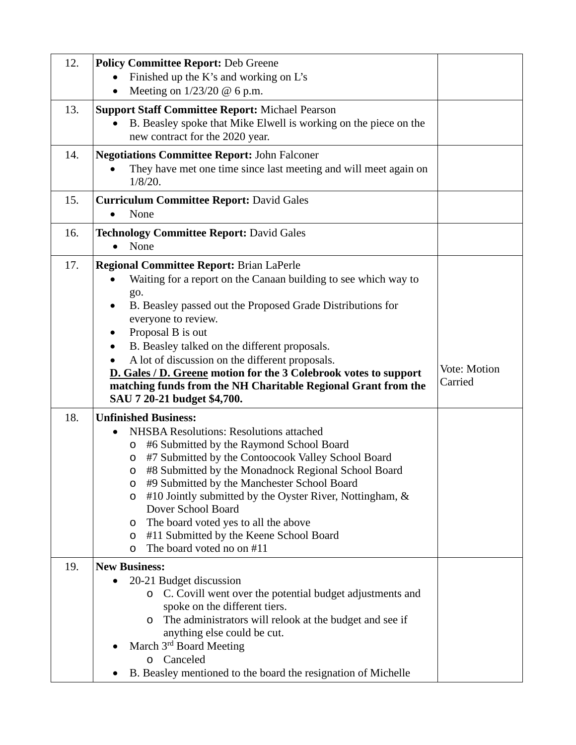| 12. | <b>Policy Committee Report: Deb Greene</b><br>Finished up the K's and working on L's<br>Meeting on $1/23/20$ @ 6 p.m.                                                                                                                                                                                                                                                                                                                                                                                                                                    |                         |
|-----|----------------------------------------------------------------------------------------------------------------------------------------------------------------------------------------------------------------------------------------------------------------------------------------------------------------------------------------------------------------------------------------------------------------------------------------------------------------------------------------------------------------------------------------------------------|-------------------------|
| 13. | <b>Support Staff Committee Report: Michael Pearson</b><br>B. Beasley spoke that Mike Elwell is working on the piece on the<br>$\bullet$<br>new contract for the 2020 year.                                                                                                                                                                                                                                                                                                                                                                               |                         |
| 14. | <b>Negotiations Committee Report: John Falconer</b><br>They have met one time since last meeting and will meet again on<br>$1/8/20$ .                                                                                                                                                                                                                                                                                                                                                                                                                    |                         |
| 15. | <b>Curriculum Committee Report: David Gales</b><br>None<br>$\bullet$                                                                                                                                                                                                                                                                                                                                                                                                                                                                                     |                         |
| 16. | <b>Technology Committee Report: David Gales</b><br>None<br>$\bullet$                                                                                                                                                                                                                                                                                                                                                                                                                                                                                     |                         |
| 17. | <b>Regional Committee Report: Brian LaPerle</b><br>Waiting for a report on the Canaan building to see which way to<br>go.<br>B. Beasley passed out the Proposed Grade Distributions for<br>everyone to review.<br>Proposal B is out<br>$\bullet$<br>B. Beasley talked on the different proposals.<br>A lot of discussion on the different proposals.<br>D. Gales / D. Greene motion for the 3 Colebrook votes to support<br>matching funds from the NH Charitable Regional Grant from the<br>SAU 7 20-21 budget \$4,700.                                 | Vote: Motion<br>Carried |
| 18. | <b>Unfinished Business:</b><br><b>NHSBA Resolutions: Resolutions attached</b><br>$\bullet$<br>#6 Submitted by the Raymond School Board<br>O<br>#7 Submitted by the Contoocook Valley School Board<br>$\circ$<br>#8 Submitted by the Monadnock Regional School Board<br>$\circ$<br>#9 Submitted by the Manchester School Board<br>O<br>#10 Jointly submitted by the Oyster River, Nottingham, &<br>O<br>Dover School Board<br>The board voted yes to all the above<br>O<br>#11 Submitted by the Keene School Board<br>O<br>The board voted no on #11<br>O |                         |
| 19. | <b>New Business:</b><br>20-21 Budget discussion<br>C. Covill went over the potential budget adjustments and<br>$\circ$<br>spoke on the different tiers.<br>The administrators will relook at the budget and see if<br>$\circ$<br>anything else could be cut.<br>March 3rd Board Meeting<br>Canceled<br>O<br>B. Beasley mentioned to the board the resignation of Michelle                                                                                                                                                                                |                         |